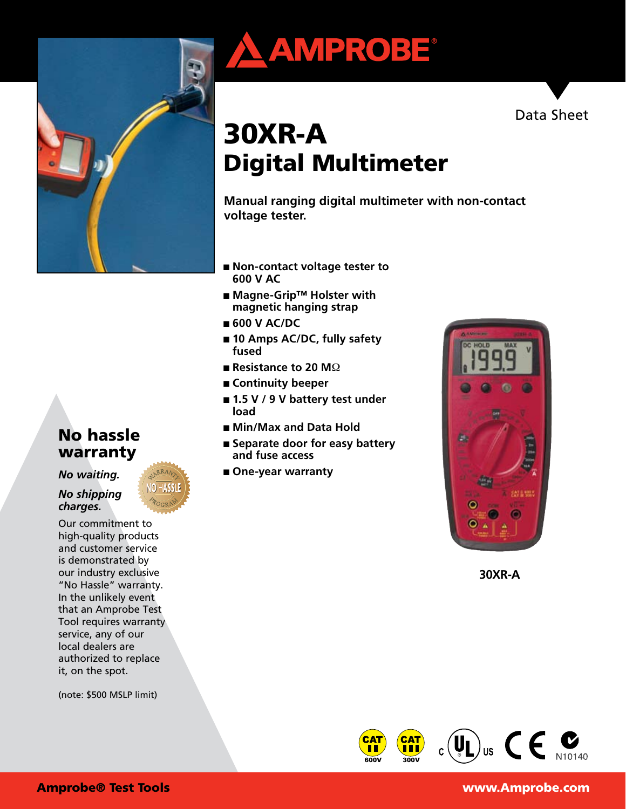

# No hassle warranty

*No waiting.* 

*No shipping charges.*

Our commitment to high-quality products and customer service is demonstrated by our industry exclusive "No Hassle" warranty. In the unlikely event that an Amprobe Test Tool requires warranty service, any of our local dealers are authorized to replace it, on the spot.

(note: \$500 MSLP limit)





# 30XR-A Digital Multimeter

**Manual ranging digital multimeter with non-contact voltage tester.**

- **Non-contact voltage tester to 600 V AC**
- Magne-Grip<sup>™</sup> Holster with **magnetic hanging strap**
- **600 V AC/DC**
- 10 Amps AC/DC, fully safety **fused**
- **Resistance to 20 M**Ω
- **Continuity beeper**
- **1.5 V / 9 V battery test under load**
- Min/Max and Data Hold
- Separate door for easy battery **and fuse access**
- One-year warranty



**30XR-A**



#### Amprobe® Test Tools www.Amprobe.com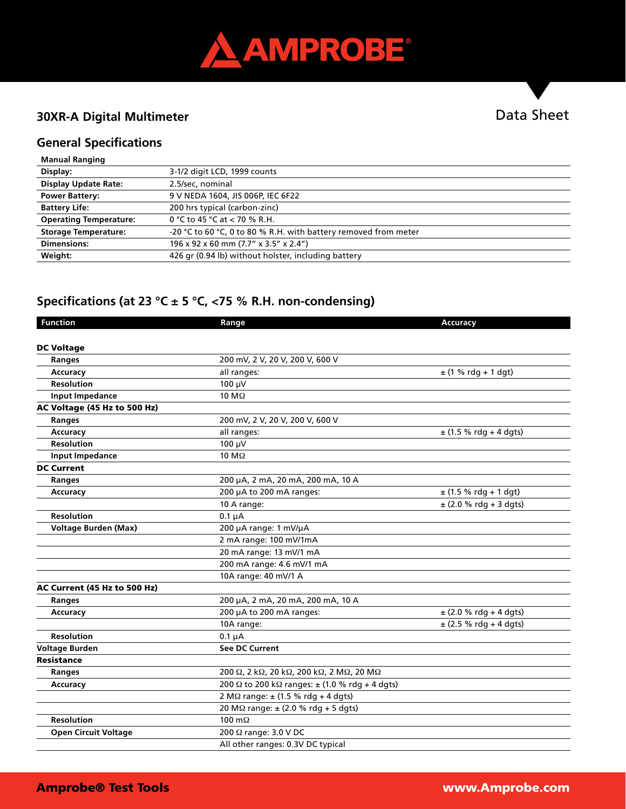

### **30XR-A Digital Multimeter**

# Data Sheet

### **General Specifications**

| <b>Manual Ranging</b>         |                                                                 |
|-------------------------------|-----------------------------------------------------------------|
| Display:                      | 3-1/2 digit LCD, 1999 counts                                    |
| <b>Display Update Rate:</b>   | 2.5/sec, nominal                                                |
| <b>Power Battery:</b>         | 9 V NEDA 1604, JIS 006P, IEC 6F22                               |
| <b>Battery Life:</b>          | 200 hrs typical (carbon-zinc)                                   |
| <b>Operating Temperature:</b> | 0 °C to 45 °C at $<$ 70 % R.H.                                  |
| <b>Storage Temperature:</b>   | -20 °C to 60 °C, 0 to 80 % R.H. with battery removed from meter |
| <b>Dimensions:</b>            | 196 x 92 x 60 mm (7.7" x 3.5" x 2.4")                           |
| Weight:                       | 426 gr (0.94 lb) without holster, including battery             |
|                               |                                                                 |

# **Specifications (at 23 °C ± 5 °C, <75 % R.H. non-condensing)**

| <b>Function</b>              | Range                                                             | <b>Accuracy</b>            |
|------------------------------|-------------------------------------------------------------------|----------------------------|
|                              |                                                                   |                            |
| <b>DC Voltage</b>            |                                                                   |                            |
| Ranges                       | 200 mV, 2 V, 20 V, 200 V, 600 V                                   |                            |
| <b>Accuracy</b>              | all ranges:                                                       | $\pm$ (1 % rdg + 1 dgt)    |
| <b>Resolution</b>            | 100 µV                                                            |                            |
| <b>Input Impedance</b>       | $10 \text{ M}\Omega$                                              |                            |
| AC Voltage (45 Hz to 500 Hz) |                                                                   |                            |
| Ranges                       | 200 mV, 2 V, 20 V, 200 V, 600 V                                   |                            |
| Accuracy                     | all ranges:                                                       | $\pm$ (1.5 % rdg + 4 dgts) |
| <b>Resolution</b>            | 100 µV                                                            |                            |
| <b>Input Impedance</b>       | 10 M $\Omega$                                                     |                            |
| <b>DC Current</b>            |                                                                   |                            |
| Ranges                       | 200 µA, 2 mA, 20 mA, 200 mA, 10 A                                 |                            |
| Accuracy                     | 200 µA to 200 mA ranges:                                          | $\pm$ (1.5 % rdg + 1 dgt)  |
|                              | 10 A range:                                                       | ± (2.0 % rdg + 3 dgts)     |
| <b>Resolution</b>            | $0.1 \mu A$                                                       |                            |
| <b>Voltage Burden (Max)</b>  | 200 µA range: 1 mV/µA                                             |                            |
|                              | 2 mA range: 100 mV/1mA                                            |                            |
|                              | 20 mA range: 13 mV/1 mA                                           |                            |
|                              | 200 mA range: 4.6 mV/1 mA                                         |                            |
|                              | 10A range: 40 mV/1 A                                              |                            |
| AC Current (45 Hz to 500 Hz) |                                                                   |                            |
| Ranges                       | 200 µA, 2 mA, 20 mA, 200 mA, 10 A                                 |                            |
| <b>Accuracy</b>              | 200 µA to 200 mA ranges:                                          | $\pm$ (2.0 % rdg + 4 dgts) |
|                              | 10A range:                                                        | $\pm$ (2.5 % rdg + 4 dgts) |
| <b>Resolution</b>            | $0.1 \mu A$                                                       |                            |
| <b>Voltage Burden</b>        | <b>See DC Current</b>                                             |                            |
| <b>Resistance</b>            |                                                                   |                            |
| Ranges                       | 200 Ω, 2 kΩ, 20 kΩ, 200 kΩ, 2 MΩ, 20 MΩ                           |                            |
| <b>Accuracy</b>              | 200 $\Omega$ to 200 k $\Omega$ ranges: $\pm$ (1.0 % rdg + 4 dgts) |                            |
|                              | $2 M\Omega$ range: $\pm$ (1.5 % rdg + 4 dgts)                     |                            |
|                              | 20 M $\Omega$ range: $\pm$ (2.0 % rdg + 5 dgts)                   |                            |
| <b>Resolution</b>            | 100 $m\Omega$                                                     |                            |
| <b>Open Circuit Voltage</b>  | 200 Ω range: 3.0 V DC                                             |                            |
|                              | All other ranges: 0.3V DC typical                                 |                            |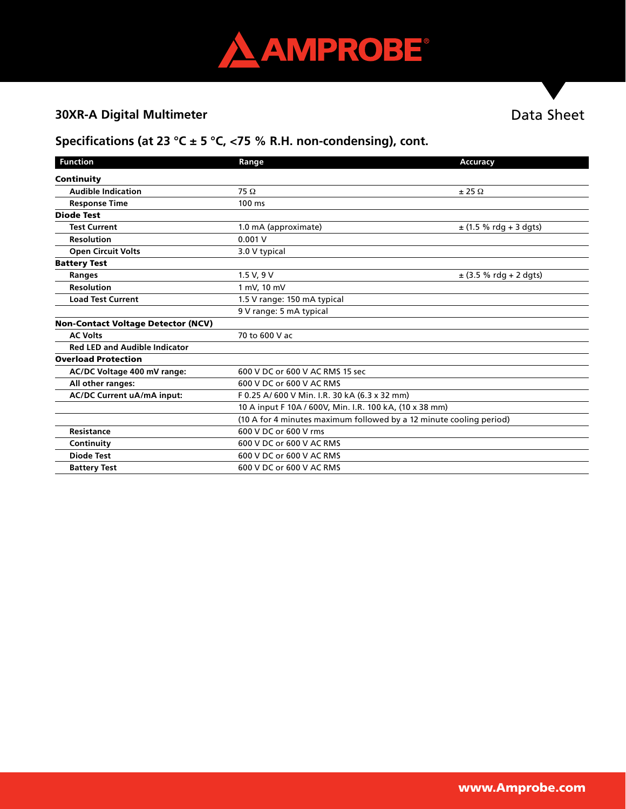

# **30XR-A Digital Multimeter**

# Data Sheet

# **Specifications (at 23 °C ± 5 °C, <75 % R.H. non-condensing), cont.**

| <b>Function</b>                           | Range                                                               | <b>Accuracy</b>            |  |
|-------------------------------------------|---------------------------------------------------------------------|----------------------------|--|
| Continuity                                |                                                                     |                            |  |
| <b>Audible Indication</b>                 | $75 \Omega$                                                         | $\pm$ 25 $\Omega$          |  |
| <b>Response Time</b>                      | $100 \text{ ms}$                                                    |                            |  |
| <b>Diode Test</b>                         |                                                                     |                            |  |
| <b>Test Current</b>                       | 1.0 mA (approximate)                                                | $\pm$ (1.5 % rdg + 3 dgts) |  |
| <b>Resolution</b>                         | 0.001V                                                              |                            |  |
| <b>Open Circuit Volts</b>                 | 3.0 V typical                                                       |                            |  |
| <b>Battery Test</b>                       |                                                                     |                            |  |
| Ranges                                    | 1.5 V, 9 V                                                          | $\pm$ (3.5 % rdg + 2 dgts) |  |
| <b>Resolution</b>                         | 1 mV, 10 mV                                                         |                            |  |
| <b>Load Test Current</b>                  | 1.5 V range: 150 mA typical                                         |                            |  |
|                                           | 9 V range: 5 mA typical                                             |                            |  |
| <b>Non-Contact Voltage Detector (NCV)</b> |                                                                     |                            |  |
| <b>AC Volts</b>                           | 70 to 600 V ac                                                      |                            |  |
| <b>Red LED and Audible Indicator</b>      |                                                                     |                            |  |
| <b>Overload Protection</b>                |                                                                     |                            |  |
| AC/DC Voltage 400 mV range:               | 600 V DC or 600 V AC RMS 15 sec                                     |                            |  |
| All other ranges:                         | 600 V DC or 600 V AC RMS                                            |                            |  |
| AC/DC Current uA/mA input:                | F 0.25 A/600 V Min. I.R. 30 kA (6.3 x 32 mm)                        |                            |  |
|                                           | 10 A input F 10A / 600V, Min. I.R. 100 kA, (10 x 38 mm)             |                            |  |
|                                           | (10 A for 4 minutes maximum followed by a 12 minute cooling period) |                            |  |
| Resistance                                | 600 V DC or 600 V rms                                               |                            |  |
| Continuity                                | 600 V DC or 600 V AC RMS                                            |                            |  |
| <b>Diode Test</b>                         | 600 V DC or 600 V AC RMS                                            |                            |  |
| <b>Battery Test</b>                       | 600 V DC or 600 V AC RMS                                            |                            |  |